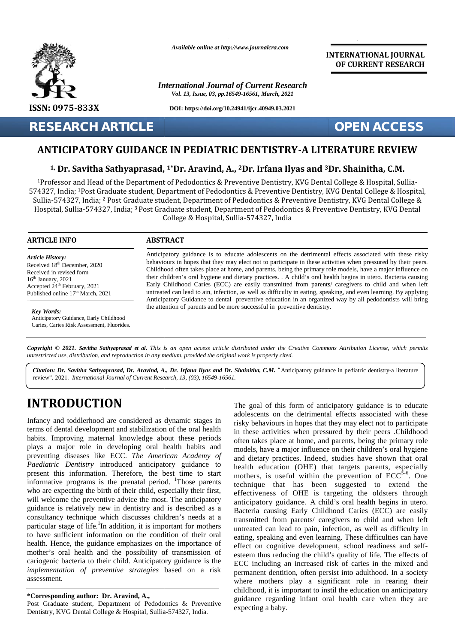

*Available online at http://www.journalcra.com*

*International Journal of Current Research Vol. 13, Issue, 03, pp.16549-16561, March, 2021*

**DOI: https://doi.org/10.24941/ijcr.40949.03.2021**

## **RESEARCH ARTICLE OPEN ACCESS**

**INTERNATIONAL JOURNAL OF CURRENT RESEARCH**

## **ANTICIPATORY GUIDANCE IN PEDIATRIC DENTISTRY-A LITERATURE REVIEW PEDIATRIC DENTISTRY-A**

### <sup>1,</sup> Dr. Savitha Sathyaprasad, <sup>1</sup>\*Dr. Aravind, A., <sup>2</sup>Dr. Irfana Ilyas and <sup>3</sup>Dr. Shainitha, C.M.

<sup>1</sup>Professor and Head of the Department of Pedodontics & Preventive Dentistry, KVG Dental College & Hospital, Sullia- -Professor and Head of the Department of Pedodontics & Preventive Dentistry, KVG Dental College & Hospital, Sullia<br>574327, India; <sup>1</sup>Post Graduate student, Department of Pedodontics & Preventive Dentistry, KVG Dental Colle Sullia-574327, India; <sup>2</sup> Post Graduate student, Department of Pedodontics & Preventive Dentistry, KVG Dental College & Hospital, Sullia-574327, India; **<sup>3</sup>** Post Graduate student, Department of Pedodontics & Preventive Dentistry, KVG Dental **EXERCH ARTICLE CONTISTRY-A LITERATURE REVIEW**<br> **ANTICIPATORY GUIDANCE IN PEDIATRIC DENTISTRY-A LITERATURE REVIEW**<br>
<sup>1</sup> **Dr. Savitha Sathyaprasad, <sup>1</sup>°Dr. Aravind, A., <sup>2</sup>Dr. Irfana Ilyas and <sup>3</sup>Dr. Shainitha, C.M.<br>
<sup>1</sup>Pro** artment of<br>ident, Depai<br>Hospital, Su

College & Hospital, Sullia-574327, India

#### **ARTICLE INFO ABSTRACT ARTICLE ABSTRACT**

*Article History: Article History:* Received  $18<sup>th</sup>$  December, 2020 Received in revised form Received in revised form  $16<sup>th</sup> January, 2021$ Received 18 December, 2020<br>
Received in revised form<br>  $16^{\text{th}}$  January, 2021<br>
Accepted 24<sup>th</sup> February, 2021<br>
E Published online  $17<sup>th</sup>$  March, 2021 18<sup>th</sup> December, 2020<br>
in revised form<br>
ary, 2021<br>
124<sup>th</sup> February, 2021<br>
1 online 17<sup>th</sup> March, 2021<br> **ords:**<br>
atory Guidance, Early Childhood<br>
Caries Risk Assessment, Fluoride<br>
at © 2021. Savitha Sathyaprasad,<br> *n*: Dr.

*Key Words:* Anticipatory Guidance, Early Childhood Caries, Caries Risk Assessment, Fluorides.

Anticipatory guidance is to educate adolescents on the detrimental effects associated with these risky<br>behaviours in hopes that they may elect not to participate in these activities when pressured by their peers. behaviours in hopes that they may elect not to participate in these activities when pressured by their peers. Childhood often takes place at home, and parents, being the primary role models, have a major influence on their children's oral hygiene and dietary practices. . A child's oral health begins in utero. Bacteria causing Early Childhood Caries (ECC) are easily transmitted from parents/caregivers to child and when left untreated can lead to ain, infection, as well as difficulty in eating, speaking, and even learning. By applying Anticipatory Guidance to dental preventive education in an organized way by all pedodontists will bring the attention of parents and be more successful in preventive dentistry. theChildhood often takes place at home, and parents, being the primary role models, have a major influence on<br>their children's oral hygiene and dietary practices. . A child's oral health begins in utero. Bacteria causing<br>Earl

**Copyright © 2021. Savitha Sathyaprasad et al.** This is an open access article distributed under the Creative Commons Attribution License, which permits<br>unrestricted use, distribution, and reproduction in any medium, provi *unrestricted use,distribution, and reproduction in any medium, provided the original work is properly cited.*

Citation: Dr. Savitha Sathyaprasad, Dr. Aravind, A., Dr. Irfana Ilyas and Dr. Shainitha, C.M. "Anticipatory guidance in pediatric dentistry-a literature review"*.* 2021. *International Journal of Current Research, 13, (03), 16549-16561.*

# **INTRODUCTION INTRODUCTION**

Infancy and toddlerhood are considered as dynamic stages in Infancy and toddlerhood are considered as dynamic stages in risky<br>terms of dental development and stabilization of the oral health in the habits. Improving maternal knowledge about these periods <sub>off</sub> plays a major role in developing oral health habits and preventing diseases like ECC. *The American Academy of Paediatric Dentistry* introduced anticipatory guidance to present this information. Therefore, the best time to start  $\mathbf{r}$ informative programs is the prenatal period. <sup>1</sup>Those parents  $\frac{hc}{\hbar c}$ who are expecting the birth of their child, especially their first, will welcome the preventive advice the most. The anticipatory guidance is relatively new in dentistry and is described as a consultancy technique which discusses children's needs at a particular stage of life.<sup>1</sup>In addition, it is important for mothers will welcome the preventive advice the most. The anticipatory<br>guidance is relatively new in dentistry and is described as a<br>consultancy technique which discusses children's needs at a<br>particular stage of life. In addition health. Hence, the guidance emphasizes on the importance of  $_{\text{ef}}$ mother's oral health and the possibility of transmission of mother's oral health and the possibility of transmission of este cariogenic bacteria to their child. Anticipatory guidance is the  $_{\text{FCC}}$ *implementation of preventive strategies* based on a risk perm<br>assessment. assessment. plays a major role in developing oral health habits and<br>preventing diseases like ECC. The American Academy of<br>Paediatric Dentistry introduced anticipatory guidance to<br>present this information. Therefore, the best time to s

#### **\*Corresponding author: Dr. Aravind, A., \*Corresponding**

Post Graduate student, Department of Pedodontics  $\&$  Preventive Dentistry, KVG Dental College & Hospital, Sullia-574327, India.

The goal of this form of anticipatory guidance is to educate adolescents on the detrimental effects associated with these risky behaviours in hopes that they may elect not to participate in these activities when pressured by their peers .Childhood often takes place at home, and parents, being the primary role models, have a major influence on their children's oral hygiene and dietary practices. Indeed, studies have shown that oral health education (OHE) that targets parents, especially mothers, is useful within the prevention of  $ECC^{5-6}$ . One technique that has been suggested to extend the effectiveness of OHE is targeting the oldsters through anticipatory guidance. A child's oral health begins in utero. Bacteria causing Early Childhood Caries (ECC) are easily transmitted from parents/caregivers to child and when left untreated can lead to pain, infection, as well as difficulty in eating, speaking and even learning. These difficulties can have effect on cognitive development, school readiness and self esteem thus reducing the child's quality of life. The effects of ECC including an increased risk of caries in the mixed and permanent dentition, often persist into adulthood. In a society where mothers play a significant role in rearing their where mothers play a significant role in rearing their childhood, it is important to instil the education on anticipatory guidance regarding infant oral health care when they are expecting a baby. Infancy and toddlerhood are considered as dynamic stages in addexeents on the derimental effects associated with these<br>terms of detail development and stabilization of the oral health histo behaviors in lopes that they may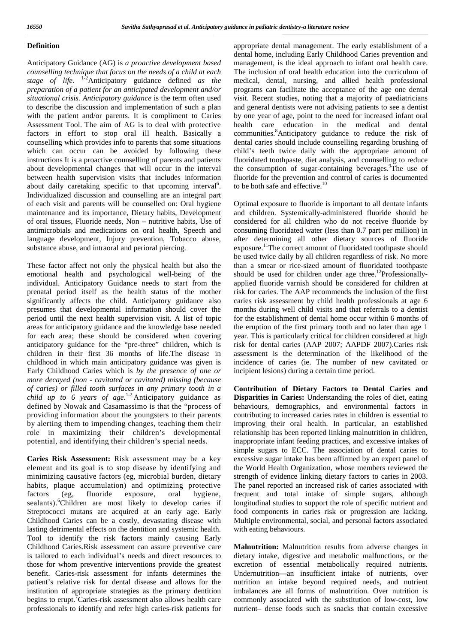#### **Definition**

Anticipatory Guidance (AG) is *a proactive development based counselling technique that focus on the needs of a child at each stage of life.* 1-2Anticipatory guidance defined *as the preparation of a patient for an anticipated development and/or situational crisis. Anticipatory guidance* is the term often used to describe the discussion and implementation of such a plan with the patient and/or parents. It is compliment to Caries Assessment Tool. The aim of AG is to deal with protective factors in effort to stop oral ill health. Basically a counselling which provides info to parents that some situations which can occur can be avoided by following these instructions It is a proactive counselling of parents and patients about developmental changes that will occur in the interval between health supervision visits that includes information about daily caretaking specific to that upcoming interval<sup>6</sup>. to Individualized discussion and counselling are an integral part of each visit and parents will be counselled on: Oral hygiene maintenance and its importance, Dietary habits, Development of oral tissues, Fluoride needs, Non – nutritive habits, Use of antimicrobials and medications on oral health, Speech and language development, Injury prevention, Tobacco abuse, substance abuse, and intraoral and perioral piercing.

These factor affect not only the physical health but also the emotional health and psychological well-being of the individual. Anticipatory Guidance needs to start from the prenatal period itself as the health status of the mother significantly affects the child. Anticipatory guidance also presumes that developmental information should cover the period until the next health supervision visit. A list of topic areas for anticipatory guidance and the knowledge base needed for each area; these should be considered when covering anticipatory guidance for the "pre-three" children, which is children in their first 36 months of life.The disease in childhood in which main anticipatory guidance was given is Early Childhood Caries which is *by the presence of one or more decayed (non - cavitated or cavitated) missing (because of caries) or filled tooth surfaces in any primary tooth in a child up to 6 years of age.*1-2.Anticipatory guidance as defined by Nowak and Casamassimo is that the "process of providing information about the youngsters to their parents by alerting them to impending changes, teaching them their role in maximizing their children's developmental potential, and identifying their children's special needs.

**Caries Risk Assessment:** Risk assessment may be a key element and its goal is to stop disease by identifying and minimizing causative factors (eg, microbial burden, dietary habits, plaque accumulation) and optimizing protective factors (eg, fluoride exposure, oral hygiene, sealants).<sup>6</sup>Children are most likely to develop caries if Streptococci mutans are acquired at an early age. Early Childhood Caries can be a costly, devastating disease with lasting detrimental effects on the dentition and systemic health. Tool to identify the risk factors mainly causing Early Childhood Caries.Risk assessment can assure preventive care is tailored to each individual's needs and direct resources to those for whom preventive interventions provide the greatest benefit. Caries-risk assessment for infants determines the patient's relative risk for dental disease and allows for the institution of appropriate strategies as the primary dentition begins to erupt.<sup>7</sup>Caries-risk assessment also allows health care professionals to identify and refer high caries-risk patients for

appropriate dental management. The early establishment of a dental home, including Early Childhood Caries prevention and management, is the ideal approach to infant oral health care. The inclusion of oral health education into the curriculum of medical, dental, nursing, and allied health professional programs can facilitate the acceptance of the age one dental visit. Recent studies, noting that a majority of paediatricians and general dentists were not advising patients to see a dentist by one year of age, point to the need for increased infant oral health care education in the medical and dental communities.<sup>8</sup>Anticipatory guidance to reduce the risk of dental caries should include counselling regarding brushing of child's teeth twice daily with the appropriate amount of fluoridated toothpaste, diet analysis, and counselling to reduce the consumption of sugar-containing beverages. The use of fluoride for the prevention and control of caries is documented to be both safe and effective.<sup>10</sup>

Optimal exposure to fluoride is important to all dentate infants and children. Systemically-administered fluoride should be considered for all children who do not receive fluoride by consuming fluoridated water (less than 0.7 part per million) in after determining all other dietary sources of fluoride exposure.<sup>11</sup>The correct amount of fluoridated toothpaste should be used twice daily by all children regardless of risk. No more than a smear or rice-sized amount of fluoridated toothpaste should be used for children under age three.<sup>12</sup>Professionallyapplied fluoride varnish should be considered for children at risk for caries. The AAP recommends the inclusion of the first caries risk assessment by child health professionals at age 6 months during well child visits and that referrals to a dentist for the establishment of dental home occur within 6 months of the eruption of the first primary tooth and no later than age 1 year. This is particularly critical for children considered at high risk for dental caries (AAP 2007; AAPDF 2007).Caries risk assessment is the determination of the likelihood of the incidence of caries (ie. The number of new cavitated or incipient lesions) during a certain time period.

**Contribution of Dietary Factors to Dental Caries and Disparities in Caries:** Understanding the roles of diet, eating behaviours, demographics, and environmental factors in contributing to increased caries rates in children is essential to improving their oral health. In particular, an established relationship has been reported linking malnutrition in children, inappropriate infant feeding practices, and excessive intakes of simple sugars to ECC. The association of dental caries to excessive sugar intake has been affirmed by an expert panel of the World Health Organization, whose members reviewed the strength of evidence linking dietary factors to caries in 2003. The panel reported an increased risk of caries associated with frequent and total intake of simple sugars, although longitudinal studies to support the role of specific nutrient and food components in caries risk or progression are lacking. Multiple environmental, social, and personal factors associated with eating behaviours.

**Malnutrition:** Malnutrition results from adverse changes in dietary intake, digestive and metabolic malfunctions, or the excretion of essential metabolically required nutrients. Undernutrition—an insufficient intake of nutrients, over nutrition an intake beyond required needs, and nutrient imbalances are all forms of malnutrition. Over nutrition is commonly associated with the substitution of low-cost, low nutrient– dense foods such as snacks that contain excessive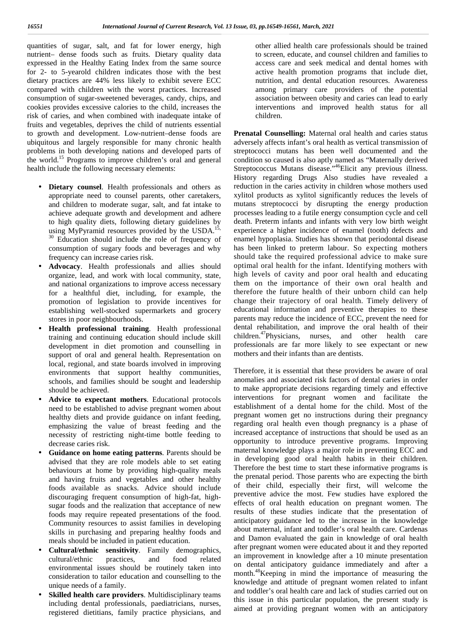quantities of sugar, salt, and fat for lower energy, high nutrient– dense foods such as fruits. Dietary quality data expressed in the Healthy Eating Index from the same source for 2- to 5-yearold children indicates those with the best dietary practices are 44% less likely to exhibit severe ECC compared with children with the worst practices. Increased consumption of sugar-sweetened beverages, candy, chips, and cookies provides excessive calories to the child, increases the risk of caries, and when combined with inadequate intake of fruits and vegetables, deprives the child of nutrients essential to growth and development. Low-nutrient–dense foods are ubiquitous and largely responsible for many chronic health problems in both developing nations and developed parts of the world.<sup>15</sup> Programs to improve children's oral and general health include the following necessary elements:

- **Dietary counsel**. Health professionals and others as appropriate need to counsel parents, other caretakers, and children to moderate sugar, salt, and fat intake to achieve adequate growth and development and adhere to high quality diets, following dietary guidelines by using MyPyramid resources provided by the USDA.<sup>15, 30</sup> Education should include the role of frequency of consumption of sugary foods and beverages and why frequency can increase caries risk.
- **Advocacy**. Health professionals and allies should organize, lead, and work with local community, state, and national organizations to improve access necessary for a healthful diet, including, for example, the promotion of legislation to provide incentives for establishing well-stocked supermarkets and grocery stores in poor neighbourhoods.
- **Health professional training**. Health professional training and continuing education should include skill development in diet promotion and counselling in support of oral and general health. Representation on local, regional, and state boards involved in improving environments that support healthy communities, schools, and families should be sought and leadership should be achieved.
- **Advice to expectant mothers**. Educational protocols need to be established to advise pregnant women about healthy diets and provide guidance on infant feeding, emphasizing the value of breast feeding and the necessity of restricting night-time bottle feeding to decrease caries risk.
- **Guidance on home eating patterns**. Parents should be advised that they are role models able to set eating behaviours at home by providing high-quality meals and having fruits and vegetables and other healthy foods available as snacks. Advice should include discouraging frequent consumption of high-fat, high sugar foods and the realization that acceptance of new foods may require repeated presentations of the food. Community resources to assist families in developing skills in purchasing and preparing healthy foods and meals should be included in patient education.
- **Cultural/ethnic sensitivity**. Family demographics, cultural/ethnic practices, and food related environmental issues should be routinely taken into consideration to tailor education and counselling to the unique needs of a family.
- **Skilled health care providers**. Multidisciplinary teams including dental professionals, paediatricians, nurses, registered dietitians, family practice physicians, and

other allied health care professionals should be trained to screen, educate, and counsel children and families to access care and seek medical and dental homes with active health promotion programs that include diet, nutrition, and dental education resources. Awareness among primary care providers of the potential association between obesity and caries can lead to early interventions and improved health status for all children.

**Prenatal Counselling:** Maternal oral health and caries status adversely affects infant's oral health as vertical transmission of streptococci mutans has been well documented and the condition so caused is also aptly named as "Maternally derived Streptococcus Mutans disease."<sup>46</sup>Elicit any previous illness. History regarding Drugs Also studies have revealed a reduction in the caries activity in children whose mothers used xylitol products as xylitol significantly reduces the levels of mutans streptococci by disrupting the energy production processes leading to a futile energy consumption cycle and cell death. Preterm infants and infants with very low birth weight experience a higher incidence of enamel (tooth) defects and enamel hypoplasia. Studies has shown that periodontal disease has been linked to preterm labour. So expecting mothers should take the required professional advice to make sure optimal oral health for the infant. Identifying mothers with high levels of cavity and poor oral health and educating them on the importance of their own oral health and therefore the future health of their unborn child can help change their trajectory of oral health. Timely delivery of educational information and preventive therapies to these parents may reduce the incidence of ECC, prevent the need for dental rehabilitation, and improve the oral health of their children.<sup>47</sup>Physicians, nurses, and other health care professionals are far more likely to see expectant or new mothers and their infants than are dentists.

Therefore, it is essential that these providers be aware of oral anomalies and associated risk factors of dental caries in order to make appropriate decisions regarding timely and effective interventions for pregnant women and facilitate the establishment of a dental home for the child. Most of the pregnant women get no instructions during their pregnancy regarding oral health even though pregnancy is a phase of increased acceptance of instructions that should be used as an opportunity to introduce preventive programs. Improving maternal knowledge plays a major role in preventing ECC and in developing good oral health habits in their children. Therefore the best time to start these informative programs is the prenatal period. Those parents who are expecting the birth of their child, especially their first, will welcome the preventive advice the most. Few studies have explored the effects of oral health education on pregnant women. The results of these studies indicate that the presentation of anticipatory guidance led to the increase in the knowledge about maternal, infant and toddler's oral health care. Cardenas and Damon evaluated the gain in knowledge of oral health after pregnant women were educated about it and they reported an improvement in knowledge after a 10 minute presentation on dental anticipatory guidance immediately and after a month.<sup>48</sup>Keeping in mind the importance of measuring the knowledge and attitude of pregnant women related to infant and toddler's oral health care and lack of studies carried out on this issue in this particular population, the present study is aimed at providing pregnant women with an anticipatory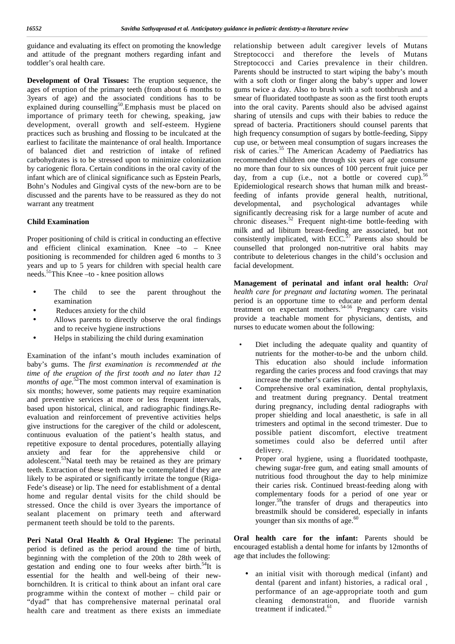guidance and evaluating its effect on promoting the knowledge and attitude of the pregnant mothers regarding infant and toddler's oral health care.

**Development of Oral Tissues:** The eruption sequence, the ages of eruption of the primary teeth (from about 6 months to 3years of age) and the associated conditions has to be explained during counselling<sup>50</sup>. Emphasis must be placed on into importance of primary teeth for chewing, speaking, jaw development, overall growth and self-esteem. Hygiene practices such as brushing and flossing to be inculcated at the earliest to facilitate the maintenance of oral health. Importance of balanced diet and restriction of intake of refined carbohydrates is to be stressed upon to minimize colonization by cariogenic flora. Certain conditions in the oral cavity of the infant which are of clinical significance such as Epstein Pearls, Bohn's Nodules and Gingival cysts of the new-born are to be discussed and the parents have to be reassured as they do not warrant any treatment

#### **Child Examination**

Proper positioning of child is critical in conducting an effective and efficient clinical examination. Knee –to – Knee positioning is recommended for children aged 6 months to 3 years and up to 5 years for children with special health care needs.<sup>51</sup>This Knee –to - knee position allows

- The child to see the parent throughout the examination
- 
- ) Reduces anxiety for the child<br>
) Allows parents to directly of Allows parents to directly observe the oral findings and to receive hygiene instructions
- Helps in stabilizing the child during examination

Examination of the infant's mouth includes examination of baby's gums. The *first examination is recommended at the time ofthe eruption of the first tooth and no later than 12 months of age*.<sup>52</sup>The most common interval of examination is six months; however, some patients may require examination and preventive services at more or less frequent intervals, based upon historical, clinical, and radiographic findings.Re evaluation and reinforcement of preventive activities helps give instructions for the caregiver of the child oradolescent, continuous evaluation of the patient's health status, and repetitive exposure to dental procedures, potentially allaying anxiety and fear for the apprehensive child or adolescent.<sup>53</sup>Natal teeth may be retained as they are primary teeth. Extraction of these teeth may be contemplated if they are likely to be aspirated or significantly irritate the tongue (Riga-Fede's disease) or lip. The need for establishment of a dental home and regular dental visits for the child should be stressed. Once the child is over 3years the importance of sealant placement on primary teeth and afterward permanent teeth should be told to the parents.

**Peri Natal Oral Health & Oral Hygiene:** The perinatal period is defined as the period around the time of birth, beginning with the completion of the 20th to 28th week of gestation and ending one to four weeks after birth.<sup>54</sup>It is essential for the health and well-being of their new bornchildren. It is critical to think about an infant oral care programme within the context of mother – child pair or "dyad" that has comprehensive maternal perinatal oral health care and treatment as there exists an immediate

relationship between adult caregiver levels of Mutans Streptococci and therefore the levels of Mutans Streptococci and Caries prevalence in their children. Parents should be instructed to start wiping the baby's mouth with a soft cloth or finger along the baby's upper and lower gums twice a day. Also to brush with a soft toothbrush and a smear of fluoridated toothpaste as soon as the first tooth erupts into the oral cavity. Parents should also be advised against sharing of utensils and cups with their babies to reduce the spread of bacteria. Practitioners should counsel parents that high frequency consumption of sugars by bottle-feeding, Sippy cup use, or between meal consumption of sugars increases the risk of caries.<sup>55</sup> The American Academy of Paediatrics has recommended children one through six years of age consume no more than four to six ounces of 100 percent fruit juice per day, from a cup (i.e., not a bottle or covered cup).<sup>56</sup> Epidemiological research shows that human milk and breastfeeding of infants provide general health, nutritional, developmental, and psychological advantages while significantly decreasing risk for a large number of acute and chronic diseases.<sup>52</sup> Frequent night-time bottle-feeding with milk and ad libitum breast-feeding are associated, but not consistently implicated, with  $ECC$ <sup>57</sup> Parents also should be counselled that prolonged non-nutritive oral habits may contribute to deleterious changes in the child's occlusion and facial development.

**Management of perinatal and infant oral health:** *Oral health care for pregnant and lactating women.* The perinatal period is an opportune time to educate and perform dental treatment on expectant mothers.<sup>54-56</sup> Pregnancy care visits provide a teachable moment for physicians, dentists, and nurses to educate women about the following:

- Diet including the adequate quality and quantity of nutrients for the mother-to-be and the unborn child. This education also should include information regarding the caries process and food cravings that may increase the mother's caries risk.
- Comprehensive oral examination, dental prophylaxis, and treatment during pregnancy. Dental treatment during pregnancy, including dental radiographs with proper shielding and local anaesthetic, is safe in all trimesters and optimal in the second trimester. Due to possible patient discomfort, elective treatment sometimes could also be deferred until after delivery.
- Proper oral hygiene, using a fluoridated toothpaste, chewing sugar-free gum, and eating small amounts of nutritious food throughout the day to help minimize their caries risk. Continued breast-feeding along with complementary foods for a period of one year or longer.<sup>59</sup>the transfer of drugs and therapeutics into breastmilk should be considered, especially in infants younger than six months of age. $60$

**Oral health care for the infant:** Parents should be encouraged establish a dental home for infants by 12months of age that includes the following:

 an initial visit with thorough medical (infant) and dental (parent and infant) histories, a radical oral , performance of an age-appropriate tooth and gum cleaning demonstration, and fluoride varnish treatment if indicated.<sup>61</sup>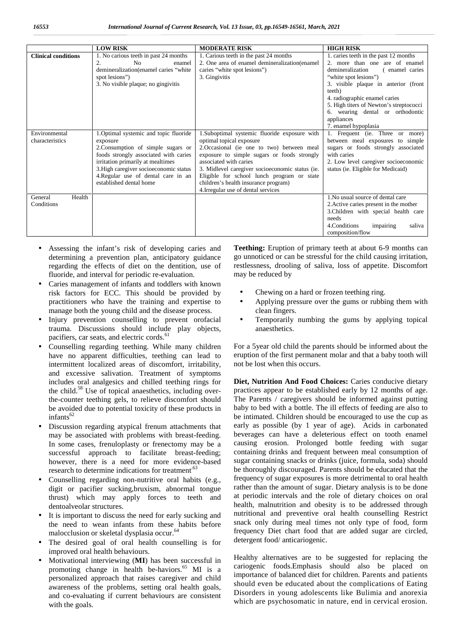|                            | <b>LOW RISK</b>                                         | <b>MODERATE RISK</b>                                                           | <b>HIGH RISK</b>                                   |
|----------------------------|---------------------------------------------------------|--------------------------------------------------------------------------------|----------------------------------------------------|
| <b>Clinical conditions</b> | 1. No carious teeth in past 24 months<br>N <sub>0</sub> | 1. Carious teeth in the past 24 months                                         | 1. caries teeth in the past 12 months              |
|                            | 2.<br>enamel<br>demineralization (enamel caries "white  | 2. One area of enamel demineralization (enamel<br>caries "white spot lesions") | 2. more than one are of enamel<br>demineralization |
|                            | spot lesions")                                          | 3. Gingivitis                                                                  | (enamel caries<br>"white spot lesions")            |
|                            | 3. No visible plaque; no gingivitis                     |                                                                                | 3. visible plaque in anterior (front               |
|                            |                                                         |                                                                                | teeth)                                             |
|                            |                                                         |                                                                                | 4. radiographic enamel caries                      |
|                            |                                                         |                                                                                | 5. High titers of Newton's streptococci            |
|                            |                                                         |                                                                                | 6. wearing dental or orthodontic                   |
|                            |                                                         |                                                                                | appliances                                         |
|                            |                                                         |                                                                                | 7. enamel hypoplasia                               |
| Environmental              | 1. Optimal systemic and topic fluoride                  | 1.Suboptimal systemic fluoride exposure with                                   | 1. Frequent (ie. Three or more)                    |
| characteristics            | exposure                                                | optimal topical exposure                                                       | between meal exposures to simple                   |
|                            | 2. Consumption of simple sugars or                      | 2. Occasional (ie one to two) between meal                                     | sugars or foods strongly associated                |
|                            | foods strongly associated with caries                   | exposure to simple sugars or foods strongly                                    | with caries                                        |
|                            | irritation primarily at mealtimes                       | associated with caries                                                         | 2. Low level caregiver socioeconomic               |
|                            | 3. High caregiver socioeconomic status                  | 3. Midlevel caregiver socioeconomic status (ie.                                | status (ie. Eligible for Medicaid)                 |
|                            | 4. Regular use of dental care in an                     | Eligible for school lunch program or state                                     |                                                    |
|                            | established dental home                                 | children's health insurance program)                                           |                                                    |
|                            |                                                         | 4. Irregular use of dental services                                            |                                                    |
| Health<br>General          |                                                         |                                                                                | 1. No usual source of dental care                  |
| Conditions                 |                                                         |                                                                                | 2. Active caries present in the mother             |
|                            |                                                         |                                                                                | 3. Children with special health care               |
|                            |                                                         |                                                                                | needs                                              |
|                            |                                                         |                                                                                | 4. Conditions<br>impairing<br>saliva               |
|                            |                                                         |                                                                                | composition/flow                                   |

- Assessing the infant's risk of developing caries and determining a prevention plan, anticipatory guidance regarding the effects of diet on the dentition, use of fluoride, and interval for periodic re-evaluation.
- Caries management of infants and toddlers with known risk factors for ECC. This should be provided by practitioners who have the training and expertise to manage both the young child and the disease process.
- Injury prevention counselling to prevent orofacial trauma. Discussions should include play objects, pacifiers, car seats, and electric cords.<sup>61</sup>
- Counselling regarding teething. While many children have no apparent difficulties, teething can lead to intermittent localized areas of discomfort, irritability, and excessive salivation. Treatment of symptoms includes oral analgesics and chilled teething rings for the child.<sup>58</sup> Use of topical anaesthetics, including overthe-counter teething gels, to relieve discomfort should be avoided due to potential toxicity of these products in infants $62$
- Discussion regarding atypical frenum attachments that may be associated with problems with breast-feeding. In some cases, frenuloplasty or frenectomy may be a successful approach to facilitate breast-feeding; however, there is a need for more evidence-based research to determine indications for treatment.<sup>63</sup>
- Counselling regarding non-nutritive oral habits (e.g., digit or pacifier sucking,bruxism, abnormal tongue thrust) which may apply forces to teeth and dentoalveolar structures.
- It is important to discuss the need for early sucking and the need to wean infants from these habits before malocclusion or skeletal dysplasia occur.<sup>64</sup>
- The desired goal of oral health counselling is for improved oral health behaviours.
- Motivational interviewing (**MI**) has been successful in promoting change in health be-haviors. $^{65}$  MI is a personalized approach that raises caregiver and child awareness of the problems, setting oral health goals, and co-evaluating if current behaviours are consistent with the goals.

Teething: Eruption of primary teeth at about 6-9 months can go unnoticed or can be stressful for the child causing irritation, restlessness, drooling of saliva, loss of appetite. Discomfort may be reduced by

- Chewing on a hard or frozen teething ring.
- Applying pressure over the gums or rubbing them with clean fingers.
- Temporarily numbing the gums by applying topical anaesthetics.

For a 5year old child the parents should be informed about the eruption of the first permanent molar and that a baby tooth will not be lost when this occurs.

**Diet, Nutrition And Food Choices:** Caries conducive dietary practices appear to be established early by 12 months of age. The Parents / caregivers should be informed against putting baby to bed with a bottle. The ill effects of feeding are also to be intimated. Children should be encouraged to use the cup as early as possible (by 1 year of age). Acids in carbonated beverages can have a deleterious effect on tooth enamel causing erosion. Prolonged bottle feeding with sugar containing drinks and frequent between meal consumption of sugar containing snacks or drinks (juice, formula, soda) should be thoroughly discouraged. Parents should be educated that the frequency of sugar exposures is more detrimental to oral health rather than the amount of sugar. Dietary analysis is to be done at periodic intervals and the role of dietary choices on oral health, malnutrition and obesity is to be addressed through nutritional and preventive oral health counselling Restrict snack only during meal times not only type of food, form frequency Diet chart food that are added sugar are circled, detergent food/ anticariogenic.

Healthy alternatives are to be suggested for replacing the cariogenic foods.Emphasis should also be placed on importance of balanced diet for children. Parents and patients should even be educated about the complications of Eating Disorders in young adolescents like Bulimia and anorexia which are psychosomatic in nature, end in cervical erosion.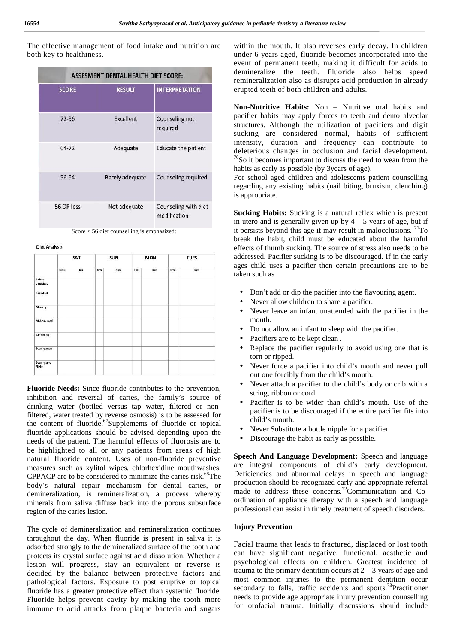The effective management of food intake and nutrition are both key to healthiness.

|                   | ASSESMENT DENTAL HEALTH DIET SCORE: |                                      |  |  |  |  |  |  |
|-------------------|-------------------------------------|--------------------------------------|--|--|--|--|--|--|
| <b>SCORE</b>      | <b>RESULT</b>                       | <b>INTERPRETATION</b>                |  |  |  |  |  |  |
| 72-96             | Excellent                           | Counseling not<br>required           |  |  |  |  |  |  |
| 64-72             | Adequate                            | Educate the patient                  |  |  |  |  |  |  |
| 56-64             | <b>Barely adequate</b>              | Counseling required                  |  |  |  |  |  |  |
| <b>56 OR less</b> | Not adequate                        | Counseling with diet<br>modification |  |  |  |  |  |  |

Score < 56 diet counselling is emphasized:

**Diet Analysis** 

|                                         | SAT  |     |      | SUN  |      | <b>MON</b> |      | <b>TUES</b> |  |
|-----------------------------------------|------|-----|------|------|------|------------|------|-------------|--|
|                                         | Tire | tem | Time | Item | Time | tem        | Time | item        |  |
| Before<br>breakfast<br><b>Resultast</b> |      |     |      |      |      |            |      |             |  |
| Morning                                 |      |     |      |      |      |            |      |             |  |
|                                         |      |     |      |      |      |            |      |             |  |
| Mid-day meal                            |      |     |      |      |      |            |      |             |  |
| Afternoon                               |      |     |      |      |      |            |      |             |  |
| Evening meal                            |      |     |      |      |      |            |      |             |  |
| Evening and<br>Night                    |      |     |      |      |      |            |      |             |  |

**Fluoride Needs:** Since fluoride contributes to the prevention, inhibition and reversal of caries, the family's source of drinking water (bottled versus tap water, filtered or nonfiltered, water treated by reverse osmosis) is to be assessed for the content of fluoride. $67$ Supplements of fluoride or topical fluoride applications should be advised depending upon the needs of the patient. The harmful effects of fluorosis are to be highlighted to all or any patients from areas of high natural fluoride content. Uses of non-fluoride preventive measures such as xylitol wipes, chlorhexidine mouthwashes, CPPACP are to be considered to minimize the caries risk. $68$ The body's natural repair mechanism for dental caries, or demineralization, is remineralization, a process whereby minerals from saliva diffuse back into the porous subsurface region of the caries lesion.

The cycle of demineralization and remineralization continues throughout the day. When fluoride is present in saliva it is adsorbed strongly to the demineralized surface of the tooth and protects its crystal surface against acid dissolution. Whether a lesion will progress, stay an equivalent or reverse is decided by the balance between protective factors and pathological factors. Exposure to post eruptive or topical fluoride has a greater protective effect than systemic fluoride. Fluoride helps prevent cavity by making the tooth more immune to acid attacks from plaque bacteria and sugars

within the mouth. It also reverses early decay. In children under 6 years aged, fluoride becomes incorporated into the event of permanent teeth, making it difficult for acids to demineralize the teeth. Fluoride also helps speed remineralization also as disrupts acid production in already erupted teeth of both children and adults.

**Non-Nutritive Habits:** Non – Nutritive oral habits and pacifier habits may apply forces to teeth and dento alveolar structures. Although the utilization of pacifiers and digit sucking are considered normal, habits of sufficient intensity, duration and frequency can contribute to deleterious changes in occlusion and facial development.  $70$ So it becomes important to discuss the need to wean from the habits as early as possible (by 3years of age).

For school aged children and adolescents patient counselling regarding any existing habits (nail biting, bruxism, clenching) is appropriate.

**Sucking Habits:** Sucking is a natural reflex which is present in-utero and is generally given up by  $4 - 5$  years of age, but if it persists beyond this age it may result in malocclusions.  $17^1$ To break the habit, child must be educated about the harmful effects of thumb sucking. The source of stress also needs to be addressed. Pacifier sucking is to be discouraged. If in the early ages child uses a pacifier then certain precautions are to be taken such as

- Don't add or dip the pacifier into the flavouring agent.
- Never allow children to share a pacifier.<br>Never leave an infant unattended with t
- Never leave an infant unattended with the pacifier in the mouth.
- Do not allow an infant to sleep with the pacifier.
- Facifiers are to be kept clean.<br>Replace the pacifier regularly
- Replace the pacifier regularly to avoid using one that is torn or ripped.
- Never force a pacifier into child's mouth and never pull out one forcibly from the child's mouth.
- Never attach a pacifier to the child's body or crib with a string, ribbon or cord.
- Pacifier is to be wider than child's mouth. Use of the pacifier is to be discouraged if the entire pacifier fits into child's mouth.
- Never Substitute a bottle nipple for a pacifier.
- Discourage the habit as early as possible.

**Speech And Language Development:** Speech and language are integral components of child's early development. Deficiencies and abnormal delays in speech and language production should be recognized early and appropriate referral made to address these concerns.<sup>72</sup>Communication and Coordination of appliance therapy with a speech and language professional can assist in timely treatment of speech disorders.

#### **Injury Prevention**

Facial trauma that leads to fractured, displaced or lost tooth can have significant negative, functional, aesthetic and psychological effects on children. Greatest incidence of trauma to the primary dentition occurs at  $2 - 3$  years of age and most common injuries to the permanent dentition occur secondary to falls, traffic accidents and sports.<sup>73</sup>Practitioner needs to provide age appropriate injury prevention counselling for orofacial trauma. Initially discussions should include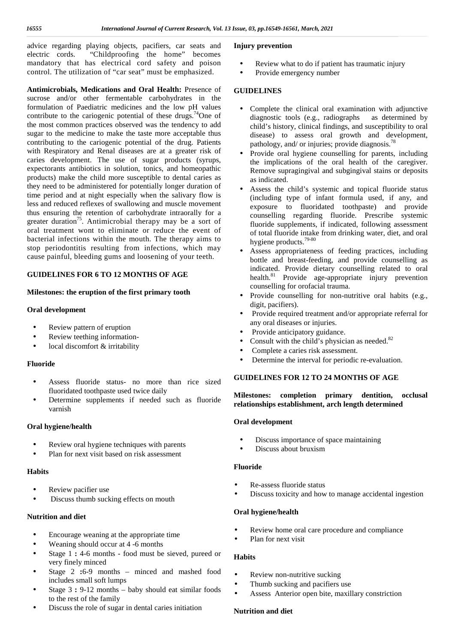advice regarding playing objects, pacifiers, car seats and electric cords. "Childproofing the home" becomes mandatory that has electrical cord safety and poison control. The utilization of "car seat" must be emphasized.

**Antimicrobials, Medications and Oral Health:** Presence of sucrose and/or other fermentable carbohydrates in the formulation of Paediatric medicines and the low pH values contribute to the cariogenic potential of these drugs.<sup>74</sup>One of the most common practices observed was the tendency to add sugar to the medicine to make the taste more acceptable thus contributing to the cariogenic potential of the drug. Patients with Respiratory and Renal diseases are at a greater risk of caries development. The use of sugar products (syrups, expectorants antibiotics in solution, tonics, and homeopathic products) make the child more susceptible to dental caries as they need to be administered for potentially longer duration of time period and at night especially when the salivary flow is less and reduced reflexes of swallowing and muscle movement thus ensuring the retention of carbohydrate intraorally for a greater duration<sup>75</sup>. Antimicrobial therapy may be a sort of oral treatment wont to eliminate or reduce the event of bacterial infections within the mouth. The therapy aims to stop periodontitis resulting from infections, which may cause painful, bleeding gums and loosening of your teeth.

#### **GUIDELINES FOR 6 TO 12 MONTHS OF AGE**

#### **Milestones: the eruption of the first primary tooth**

#### **Oral development**

- Review pattern of eruption
- Review teething information-
- local discomfort & irritability

#### **Fluoride**

- Assess fluoride status- no more than rice sized fluoridated toothpaste used twice daily
- Determine supplements if needed such as fluoride varnish

#### **Oral hygiene/health**

 Review oral hygiene techniques with parents Plan for next visit based on risk assessment

#### **Habits**

- Review pacifier use
	- Discuss thumb sucking effects on mouth

#### **Nutrition and diet**

- Encourage weaning at the appropriate time
- Weaning should occur at 4 -6 months
- Stage 1 **:** 4-6 months food must be sieved, pureed or very finely minced
- Stage 2 **:**6-9 months minced and mashed food includes small soft lumps
- Stage 3 **:** 9-12 months baby should eat similar foods to the rest of the family
- Discuss the role of sugar in dental caries initiation

#### **Injury prevention**

- Review what to do if patient has traumatic injury
- Provide emergency number

#### **GUIDELINES**

- Complete the clinical oral examination with adjunctive diagnostic tools (e.g., radiographs as determined by child's history, clinical findings, and susceptibility to oral disease) to assess oral growth and development, pathology, and/ or injuries; provide diagnosis.<sup>78</sup>
- Provide oral hygiene counselling for parents, including the implications of the oral health of the caregiver. Remove supragingival and subgingival stains or deposits as indicated.
- Assess the child's systemic and topical fluoride status (including type of infant formula used, if any, and exposure to fluoridated toothpaste) and provide counselling regarding fluoride. Prescribe systemic fluoride supplements, if indicated, following assessment of total fluoride intake from drinking water, diet, and oral hygiene products.79-80
- Assess appropriateness of feeding practices, including bottle and breast-feeding, and provide counselling as indicated. Provide dietary counselling related to oral health.<sup>81</sup> Provide age-appropriate injury prevention counselling for orofacial trauma.
- Provide counselling for non-nutritive oral habits (e.g., digit, pacifiers).
- Provide required treatment and/or appropriate referral for any oral diseases or injuries.
- Provide anticipatory guidance.
- Consult with the child's physician as needed. $82$
- Complete a caries risk assessment.
- Determine the interval for periodic re-evaluation.

#### **GUIDELINES FOR 12 TO 24 MONTHS OF AGE**

#### **Milestones: completion primary dentition, occlusal relationships establishment, arch length determined**

#### **Oral development**

- Discuss importance of space maintaining
- Discuss about bruxism

#### **Fluoride**

- Re-assess fluoride status
- Discuss toxicity and how to manage accidental ingestion

#### **Oral hygiene/health**

- Review home oral care procedure and compliance
- Plan for next visit

#### **Habits**

- Review non-nutritive sucking
- Thumb sucking and pacifiers use
- Assess Anterior open bite, maxillary constriction

#### **Nutrition and diet**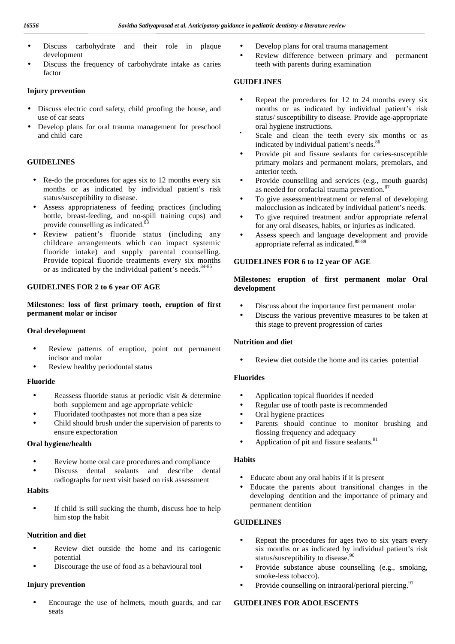- Discuss carbohydrate and their role in plaque development
- Discuss the frequency of carbohydrate intake as caries factor

#### **Injury prevention**

- Discuss electric cord safety, child proofing the house, and use of car seats
- Develop plans for oral trauma management for preschool and child care

#### **GUIDELINES**

- Re-do the procedures for ages six to 12 months every six months or as indicated by individual patient's risk status/susceptibility to disease.
- Assess appropriateness of feeding practices (including bottle, breast-feeding, and no-spill training cups) and provide counselling as indicated.<sup>8</sup>
- Review patient's fluoride status (including any childcare arrangements which can impact systemic fluoride intake) and supply parental counselling. Provide topical fluoride treatments every six months or as indicated by the individual patient's needs.<sup>84-85</sup>

#### **GUIDELINES FOR 2 to 6 year OF AGE**

**Milestones: loss of first primary tooth, eruption of first permanent molar or incisor**

#### **Oral development**

- Review patterns of eruption, point out permanent incisor and molar
- Review healthy periodontal status

#### **Fluoride**

- Reassess fluoride status at periodic visit & determine both supplement and age appropriate vehicle
- Fluoridated toothpastes not more than a pea size
- $\left( \begin{array}{cc} 1 & \text{child should brush under the supervision of parents to} \end{array} \right)$ ensure expectoration

#### **Oral hygiene/health**



#### **Habits**

 If child is still sucking the thumb, discuss hoe to help him stop the habit

#### **Nutrition and diet**

- Review diet outside the home and its cariogenic potential
- Discourage the use of food as a behavioural tool

#### **Injury prevention**

 Encourage the use of helmets, mouth guards, and car seats

- Develop plans for oral trauma management
- Review difference between primary and permanent teeth with parents during examination

#### **GUIDELINES**

- Repeat the procedures for 12 to 24 months every six months or as indicated by individual patient's risk status/ susceptibility to disease. Provide age-appropriate oral hygiene instructions.
- Scale and clean the teeth every six months or as indicated by individual patient's needs.<sup>86</sup>
- Provide pit and fissure sealants for caries-susceptible primary molars and permanent molars, premolars, and anterior teeth.
- Provide counselling and services (e.g., mouth guards) as needed for orofacial trauma prevention.<sup>87</sup>
- To give assessment/treatment or referral of developing malocclusion as indicated by individual patient's needs.
- To give required treatment and/or appropriate referral for any oral diseases, habits, or injuries as indicated.
- Assess speech and language development and provide appropriate referral as indicated.<sup>88-89</sup>

#### **GUIDELINES FOR 6 to 12 year OF AGE**

#### **Milestones: eruption of first permanent molar Oral development**

- Discuss about the importance first permanent molar
- Discuss the various preventive measures to be taken at this stage to prevent progression of caries

#### **Nutrition and diet**

Review diet outside the home and its caries potential

#### **Fluorides**

- Application topical fluorides if needed
- Regular use of tooth paste is recommended
- Oral hygiene practices
- Parents should continue to monitor brushing and flossing frequency and adequacy
- $\int$  Application of pit and fissure sealants.<sup>81</sup>

#### **Habits**

- Educate about any oral habits if it is present
- Educate the parents about transitional changes in the developing dentition and the importance of primary and permanent dentition

#### **GUIDELINES**

- Repeat the procedures for ages two to six years every six months or as indicated by individual patient's risk status/susceptibility to disease.<sup>90</sup>
- Provide substance abuse counselling (e.g., smoking, smoke-less tobacco).
- Provide counselling on intraoral/perioral piercing.<sup>91</sup>

#### **GUIDELINES FOR ADOLESCENTS**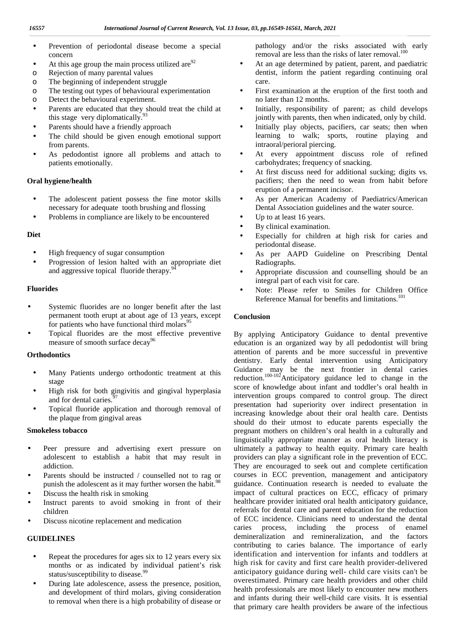- Prevention of periodontal disease become a special concern
- ) At this age group the main process utilized are  $92$
- o Rejection of many parental values
- o The beginning of independent struggle
- o The testing out types of behavioural experimentation
- o Detect the behavioural experiment.
- Parents are educated that they should treat the child at this stage very diplomatically. $\frac{9}{5}$
- Parents should have a friendly approach
- The child should be given enough emotional support from parents.
- As pedodontist ignore all problems and attach to patients emotionally.

#### **Oral hygiene/health**

- The adolescent patient possess the fine motor skills necessary for adequate tooth brushing and flossing
- Problems in compliance are likely to be encountered

#### **Diet**

- High frequency of sugar consumption
- Progression of lesion halted with an appropriate diet and aggressive topical fluoride therapy.<sup>9</sup>

#### **Fluorides**

- Systemic fluorides are no longer benefit after the last permanent tooth erupt at about age of 13 years, except for patients who have functional third molars<sup>95</sup>
- Topical fluorides are the most effective preventive measure of smooth surface decay<sup>96</sup>

#### **Orthodontics**

- Many Patients undergo orthodontic treatment at this stage
- High risk for both gingivitis and gingival hyperplasia and for dental caries.<sup>9</sup>
- Topical fluoride application and thorough removal of the plaque from gingival areas

#### **Smokeless tobacco**

- Peer pressure and advertising exert pressure on adolescent to establish a habit that may result in addiction.
- Parents should be instructed / counselled not to rag or punish the adolescent as it may further worsen the habit.<sup>98</sup> Discuss the health risk in smoking
- Instruct parents to avoid smoking in front of their children
- Discuss nicotine replacement and medication

#### **GUIDELINES**

- Repeat the procedures for ages six to 12 years every six months or as indicated by individual patient's risk status/susceptibility to disease.<sup>99</sup>
- During late adolescence, assess the presence, position, and development of third molars, giving consideration to removal when there is a high probability of disease or

pathology and/or the risks associated with early removal are less than the risks of later removal.<sup>100</sup>

- At an age determined by patient, parent, and paediatric dentist, inform the patient regarding continuing oral care.
- First examination at the eruption of the first tooth and no later than 12 months.
- Initially, responsibility of parent; as child develops jointly with parents, then when indicated, only by child.
- Initially play objects, pacifiers, car seats; then when learning to walk; sports, routine playing and intraoral/perioral piercing.
- At every appointment discuss role of refined carbohydrates; frequency of snacking.
- At first discuss need for additional sucking; digits vs. pacifiers; then the need to wean from habit before eruption of a permanent incisor.
- As per American Academy of Paediatrics/American Dental Association guidelines and the water source.
- Up to at least 16 years.
- By clinical examination.
- Especially for children at high risk for caries and periodontal disease.
- As per AAPD Guideline on Prescribing Dental Radiographs.
- Appropriate discussion and counselling should be an integral part of each visit for care.
- Note: Please refer to Smiles for Children Office Reference Manual for benefits and limitations.<sup>101</sup>

#### **Conclusion**

By applying Anticipatory Guidance to dental preventive education is an organized way by all pedodontist will bring attention of parents and be more successful in preventive dentistry. Early dental intervention using Anticipatory Guidance may be the next frontier in dental caries reduction.<sup>100-102</sup>Anticipatory guidance led to change in the score of knowledge about infant and toddler's oral health in intervention groups compared to control group. The direct presentation had superiority over indirect presentation in increasing knowledge about their oral health care. Dentists should do their utmost to educate parents especially the pregnant mothers on children's oral health in a culturally and linguistically appropriate manner as oral health literacy is ultimately a pathway to health equity. Primary care health providers can play a significant role in the prevention of ECC. They are encouraged to seek out and complete certification courses in ECC prevention, management and anticipatory guidance. Continuation research is needed to evaluate the impact of cultural practices on ECC, efficacy of primary healthcare provider initiated oral health anticipatory guidance, referrals for dental care and parent education for the reduction of ECC incidence. Clinicians need to understand the dental caries process, including the process of enamel demineralization and remineralization, and the factors contributing to caries balance. The importance of early identification and intervention for infants and toddlers at high risk for cavity and first care health provider-delivered anticipatory guidance during well- child care visits can't be overestimated. Primary care health providers and other child health professionals are most likely to encounter new mothers and infants during their well-child care visits. It is essential that primary care health providers be aware of the infectious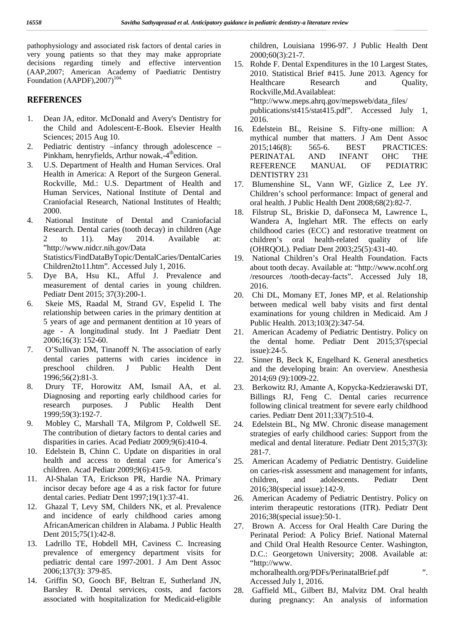pathophysiology and associated risk factors of dental caries in very young patients so that they may make appropriate decisions regarding timely and effective intervention (AAP,2007; American Academy of Paediatric Dentistry Foundation  $(AAPDF)$ , 2007)<sup>104.</sup>

#### **REFERENCES**

- 1. Dean JA, editor. McDonald and Avery's Dentistry for the Child and Adolescent-E-Book. Elsevier Health Sciences; 2015 Aug 10.
- 2. Pediatric dentistry –infancy through adolescence  $2015:146(8)$ : Pinkham, henryfields, Arthur nowak,-4<sup>th</sup>edition.
- 3. U.S. Department of Health and Human Services. Oral Health in America: A Report of the Surgeon General. Rockville, Md.: U.S. Department of Health and Human Services, National Institute of Dental and Craniofacial Research, National Institutes of Health; 2000.
- 4. National Institute of Dental and Craniofacial Research. Dental caries (tooth decay) in children (Age 2 to 11). May 2014. Available at: "http://www.nidcr.nih.gov/Data Statistics/FindDataByTopic/DentalCaries/DentalCaries Children2to11.htm". Accessed July 1, 2016.
- 5. Dye BA, Hsu KL, Afful J. Prevalence and measurement of dental caries in young children. Pediatr Dent 2015; 37(3):200-1.
- 6. Skeie MS, Raadal M, Strand GV, Espelid I. The relationship between caries in the primary dentition at 5 years of age and permanent dentition at 10 years of age - A longitudinal study. Int J Paediatr Dent 2006;16(3): 152-60.
- 7. O'Sullivan DM, Tinanoff N. The association of early dental caries patterns with caries incidence in preschool children. J Public Health Dent 1996;56(2):81-3.
- 8. Drury TF, Horowitz AM, Ismail AA, et al. Diagnosing and reporting early childhood caries for research purposes. J Public Health Dent 1999;59(3):192-7.
- 9. Mobley C, Marshall TA, Milgrom P, Coldwell SE. The contribution of dietary factors to dental caries and disparities in caries. Acad Pediatr 2009;9(6):410-4.
- 10. Edelstein B, Chinn C. Update on disparities in oral health and access to dental care for America's children. Acad Pediatr 2009;9(6):415-9.
- 11. Al-Shalan TA, Erickson PR, Hardie NA. Primary incisor decay before age 4 as a risk factor for future dental caries. Pediatr Dent 1997;19(1):37-41.
- 12. Ghazal T, Levy SM, Childers NK, et al. Prevalence and incidence of early childhood caries among AfricanAmerican children in Alabama. J Public Health Dent 2015;75(1):42-8.
- 13. Ladrillo TE, Hobdell MH, Caviness C. Increasing prevalence of emergency department visits for pediatric dental care 1997-2001. J Am Dent Assoc 2006;137(3): 379-85.
- 14. Griffin SO, Gooch BF, Beltran E, Sutherland JN, Barsley R. Dental services, costs, and factors 28. associated with hospitalization for Medicaid-eligible

children, Louisiana 1996-97. J Public Health Dent 2000;60(3):21-7.

- 15. Rohde F. Dental Expenditures in the 10 Largest States, 2010. Statistical Brief #415. June 2013. Agency for Healthcare Research and Quality, Rockville,Md.Availableat: "http://www.meps.ahrq.gov/mepsweb/data\_files/ publications/st415/stat415.pdf". Accessed July 1, 2016.
- 16. Edelstein BL, Reisine S. Fifty-one million: A mythical number that matters. J Am Dent Assoc 565-6. BEST PRACTICES: PERINATAL AND INFANT OHC THE REFERENCE MANUAL OF PEDIATRIC DENTISTRY 231
- 17. Blumenshine SL, Vann WF, Gizlice Z, Lee JY. Children's school performance: Impact of general and oral health. J Public Health Dent 2008;68(2):82-7.
- 18. Filstrup SL, Briskie D, daFonseca M, Lawrence L, Wandera A, Inglehart MR. The effects on early childhood caries (ECC) and restorative treatment on children's oral health-related quality of life (OHRQOL). Pediatr Dent 2003;25(5):431-40.
- 19. National Children's Oral Health Foundation. Facts about tooth decay. Available at:"http://www.ncohf.org /resources /tooth-decay-facts". Accessed July 18, 2016.
- 20. Chi DL, Momany ET, Jones MP, et al. Relationship between medical well baby visits and first dental examinations for young children in Medicaid. Am J Public Health. 2013;103(2):347-54.
- 21. American Academy of Pediatric Dentistry. Policy on the dental home. Pediatr Dent 2015;37(special issue):24-5.
- 22. Sinner B, Beck K, Engelhard K. General anesthetics and the developing brain: An overview. Anesthesia 2014;69 (9):1009-22.
- 23. Berkowitz RJ, Amante A, Kopycka-Kedzierawski DT, Billings RJ, Feng C. Dental caries recurrence following clinical treatment for severe early childhood caries. Pediatr Dent 2011;33(7):510-4.
- 24. Edelstein BL, Ng MW. Chronic disease management strategies of early childhood caries: Support from the medical and dental literature. Pediatr Dent 2015;37(3): 281-7.
- 25. American Academy of Pediatric Dentistry. Guideline on caries-risk assessment and management for infants, and adolescents. Pediatr Dent 2016;38(special issue):142-9.
- 26. American Academy of Pediatric Dentistry. Policy on interim therapeutic restorations (ITR). Pediatr Dent 2016;38(special issue):50-1.
- 27. Brown A. Access for Oral Health Care During the Perinatal Period: A Policy Brief. National Maternal and Child Oral Health Resource Center. Washington, D.C.: Georgetown University; 2008. Available at: "http://www. mchoralhealth.org/PDFs/PerinatalBrief.pdf ".

Accessed July 1, 2016.

Gaffield ML, Gilbert BJ, Malvitz DM. Oral health during pregnancy: An analysis of information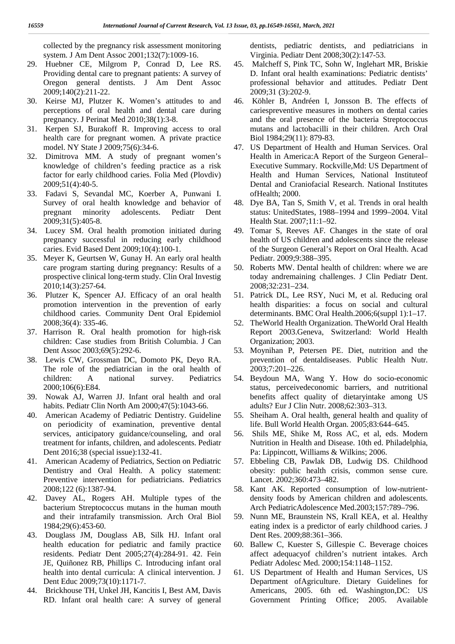collected by the pregnancy risk assessment monitoring system. J Am Dent Assoc 2001;132(7):1009-16.

- 29. Huebner CE, Milgrom P, Conrad D, Lee RS. Providing dental care to pregnant patients: A survey of Oregon general dentists. J Am Dent Assoc 2009;140(2):211-22.
- 30. Keirse MJ, Plutzer K. Women's attitudes to and perceptions of oral health and dental care during pregnancy. J Perinat Med 2010;38(1):3-8.
- 31. Kerpen SJ, Burakoff R. Improving access to oral health care for pregnant women. A private practice model. NY State J 2009;75(6):34-6.
- 32. Dimitrova MM. A study of pregnant women's knowledge of children's feeding practice as a risk factor for early childhood caries. Folia Med (Plovdiv) 2009;51(4):40-5.
- 33. Fadavi S, Sevandal MC, Koerber A, Punwani I. Survey of oral health knowledge and behavior of pregnant minority adolescents. Pediatr Dent 2009;31(5):405-8.
- 34. Lucey SM. Oral health promotion initiated during pregnancy successful in reducing early childhood caries. Evid Based Dent 2009;10(4):100-1.
- 35. Meyer K, Geurtsen W, Gunay H. An early oral health care program starting during pregnancy: Results of a prospective clinical long-term study. Clin Oral Investig 2010;14(3):257-64.
- 36. Plutzer K, Spencer AJ. Efficacy of an oral health promotion intervention in the prevention of early childhood caries. Community Dent Oral Epidemiol 2008;36(4): 335-46.
- 37. Harrison R. Oral health promotion for high-risk children: Case studies from British Columbia. J Can Dent Assoc 2003;69(5):292-6.
- 38. Lewis CW, Grossman DC, Domoto PK, Deyo RA. The role of the pediatrician in the oral health of children: A national survey. Pediatrics 2000;106(6):E84.
- 39. Nowak AJ,Warren JJ. Infant oral health and oral habits. Pediatr Clin North Am 2000;47(5):1043-66.
- 40. American Academy of Pediatric Dentistry. Guideline on periodicity of examination, preventive dental services, anticipatory guidance/counseling, and oral treatment for infants, children, and adolescents. Pediatr Dent 2016;38 (special issue):132-41.
- 41. American Academy of Pediatrics, Section on Pediatric Dentistry and Oral Health. A policy statement: Preventive intervention for pediatricians. Pediatrics 2008;122 (6):1387-94.
- 42. Davey AL, Rogers AH. Multiple types of the bacterium Streptococcus mutans in the human mouth and their intrafamily transmission. Arch Oral Biol 1984;29(6):453-60.
- 43. Douglass JM, Douglass AB, Silk HJ. Infant oral health education for pediatric and family practice residents. Pediatr Dent 2005;27(4):284-91. 42. Fein JE, Quiñonez RB, Phillips C. Introducing infant oral health into dental curricula: A clinical intervention. J Dent Educ 2009;73(10):1171-7.
- 44. Brickhouse TH, Unkel JH, Kancitis I, Best AM, Davis RD. Infant oral health care: A survey of general

dentists, pediatric dentists, and pediatricians in Virginia. Pediatr Dent 2008;30(2):147-53.

- 45. Malcheff S, Pink TC, Sohn W, Inglehart MR, Briskie D. Infant oral health examinations: Pediatric dentists' professional behavior and attitudes. Pediatr Dent 2009;31 (3):202-9.
- 46. Köhler B, Andréen I, Jonsson B. The effects of cariespreventive measures in mothers on dental caries and the oral presence of the bacteria Streptococcus mutans and lactobacilli in their children. Arch Oral Biol 1984;29(11): 879-83.
- 47. US Department of Health and Human Services. Oral Health in America:A Report of the Surgeon General– Executive Summary. Rockville,Md: US Department of Health and Human Services, National Instituteof Dental and Craniofacial Research. National Institutes ofHealth; 2000.
- 48. Dye BA, Tan S, Smith V, et al. Trends in oral health status: UnitedStates, 1988–1994 and 1999–2004. Vital Health Stat. 2007;11:1–92.
- 49. Tomar S, Reeves AF. Changes in the state of oral health of US children and adolescents since the release of the Surgeon General's Report on Oral Health. Acad Pediatr. 2009;9:388–395.
- 50. Roberts MW. Dental health of children: where we are today andremaining challenges. J Clin Pediatr Dent. 2008;32:231–234.
- 51. Patrick DL, Lee RSY, Nuci M, et al. Reducing oral health disparities: a focus on social and cultural determinants. BMC Oral Health.2006;6(suppl 1):1–17.
- 52. TheWorld Health Organization. TheWorld Oral Health Report 2003.Geneva, Switzerland: World Health Organization; 2003.
- 53. Moynihan P, Petersen PE. Diet, nutrition and the prevention of dentaldiseases. Public Health Nutr. 2003;7:201–226.
- 54. Beydoun MA, Wang Y. How do socio-economic status, perceivedeconomic barriers, and nutritional benefits affect quality of dietaryintake among US adults? Eur J Clin Nutr. 2008;62:303–313.
- 55. Sheiham A. Oral health, general health and quality of life. Bull World Health Organ. 2005;83:644–645.
- 56. Shils ME, Shike M, Ross AC, et al, eds. Modern Nutrition in Health and Disease. 10th ed. Philadelphia, Pa: Lippincott, Williams & Wilkins;2006.
- 57. Ebbeling CB, Pawlak DB, Ludwig DS. Childhood obesity: public health crisis, common sense cure. Lancet. 2002;360:473–482.
- 58. Kant AK. Reported consumption of low-nutrient density foods by American children and adolescents. Arch PediatricAdolescence Med.2003;157:789–796.
- 59. Nunn ME, Braunstein NS, Krall KEA, et al. Healthy eating index is a predictor of early childhood caries. J Dent Res. 2009;88:361–366.
- 60. Ballew C, Kuester S, Gillespie C.Beverage choices affect adequacyof children's nutrient intakes. Arch Pediatr Adolesc Med. 2000;154:1148–1152.
- 61. US Department of Health and Human Services, US Department ofAgriculture. Dietary Guidelines for Americans, 2005. 6th ed. Washington,DC: US Government Printing Office; 2005. Available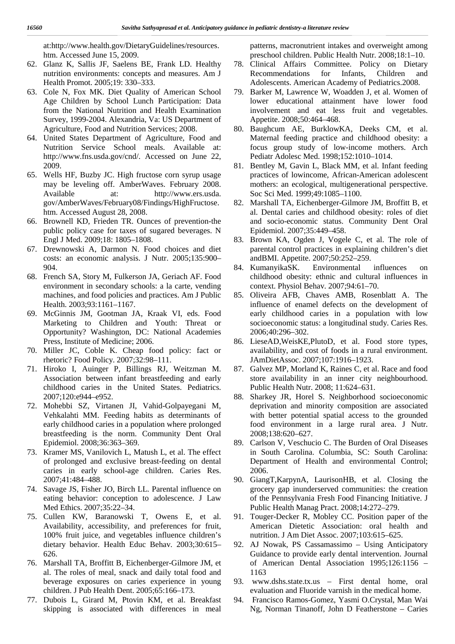at:http://www.health.gov/DietaryGuidelines/resources. htm. Accessed June 15, 2009.

- 62. Glanz K, Sallis JF, Saelens BE, Frank LD. Healthy nutrition environments: concepts and measures. Am J Health Promot. 2005;19: 330–333.
- 63. Cole N, Fox MK. Diet Quality of American School Age Children by School Lunch Participation: Data from the National Nutrition and Health Examination Survey, 1999-2004. Alexandria, Va: US Department of Agriculture, Food and Nutrition Services; 2008.
- 64. United States Department of Agriculture, Food and Nutrition Service School meals. Available at: http://www.fns.usda.gov/cnd/. Accessed on June 22, 2009.
- 65. Wells HF, Buzby JC. High fructose corn syrup usage may be leveling off. AmberWaves. February 2008. Available at: http://www.ers.usda. gov/AmberWaves/February08/Findings/HighFructose. htm. Accessed August 28, 2008.
- 66. Brownell KD, Frieden TR. Ounces of prevention-the public policy case for taxes of sugared beverages. N Engl J Med. 2009;18: 1805–1808.
- 67. Drewnowski A, Darmon N. Food choices and diet costs: an economic analysis. J Nutr. 2005;135:900– 904.
- 68. French SA, Story M, Fulkerson JA, Geriach AF. Food environment in secondary schools: a la carte, vending machines, and food policies and practices. Am J Public Health. 2003;93:1161–1167.
- 69. McGinnis JM, Gootman JA, Kraak VI, eds. Food Marketing to Children and Youth: Threat or Opportunity? Washington, DC: National Academies Press, Institute of Medicine; 2006.
- 70. Miller JC, Coble K. Cheap food policy: fact or rhetoric? Food Policy. 2007;32:98–111.
- 71. Hiroko I, Auinger P, Billings RJ, Weitzman M. Association between infant breastfeeding and early childhood caries in the United States. Pediatrics. 2007;120:e944–e952.
- 72. Mohebbi SZ, Virtanen JI, Vahid-Golpayegani M, Vehkalahti MM. Feeding habits as determinants of early childhood caries in a population where prolonged breastfeeding is the norm. Community Dent Oral Epidemiol. 2008;36:363–369.
- 73. Kramer MS, Vanilovich L, Matush L, et al. The effect of prolonged and exclusive breast-feeding on dental caries in early school-age children. Caries Res. 2007;41:484–488.
- 74. Savage JS, Fisher JO, Birch LL. Parental influence on eating behavior: conception to adolescence. J Law Med Ethics. 2007;35:22–34.
- 75. Cullen KW, Baranowski T, Owens E, et al. Availability, accessibility, and preferences for fruit, 100% fruit juice, and vegetables influence children's dietary behavior. Health Educ Behav. 2003;30:615– 626.
- 76. Marshall TA, Broffitt B, Eichenberger-Gilmore JM, et al. The roles of meal, snack and daily total food and beverage exposures on caries experience in young children. J Pub Health Dent. 2005;65:166–173.
- 77. Dubois L, Girard M, Ptovin KM, et al. Breakfast skipping is associated with differences in meal

patterns, macronutrient intakes and overweight among preschool children. Public Health Nutr. 2008;18:1–10.

- 78. Clinical Affairs Committee. Policy on Dietary Recommendations for Infants, Children and Adolescents. American Academy of Pediatrics.2008.
- 79. Barker M, Lawrence W, Woadden J, et al. Women of lower educational attainment have lower food involvement and eat less fruit and vegetables. Appetite. 2008;50:464–468.
- 80. Baughcum AE, BurklowKA, Deeks CM, et al. Maternal feeding practice and childhood obesity: a focus group study of low-income mothers. Arch Pediatr Adolesc Med. 1998;152:1010–1014.
- 81. Bentley M, Gavin L, Black MM, et al. Infant feeding practices of lowincome, African-American adolescent mothers: an ecological, multigenerational perspective. Soc Sci Med. 1999;49:1085–1100.
- 82. Marshall TA, Eichenberger-Gilmore JM, Broffitt B, et al. Dental caries and childhood obesity: roles of diet and socio-economic status. Community Dent Oral Epidemiol. 2007;35:449–458.
- 83. Brown KA, Ogden J, Vogele C, et al. The role of parental control practices in explaining children's diet andBMI. Appetite. 2007;50:252–259.
- 84. KumanyikaSK. Environmental influences on childhood obesity: ethnic and cultural influences in context. Physiol Behav. 2007;94:61–70.
- 85. Oliveira AFB, Chaves AMB, Rosenblatt A. The influence of enamel defects on the development of early childhood caries in a population with low socioeconomic status: a longitudinal study. Caries Res. 2006;40:296–302.
- 86. LieseAD,WeisKE,PlutoD, et al. Food store types, availability, and cost of foods in a rural environment. JAmDietAssoc. 2007;107:1916–1923.
- 87. Galvez MP, Morland K, Raines C, et al. Race and food store availability in an inner city neighbourhood. Public Health Nutr. 2008; 11:624–631.
- 88. Sharkey JR, Horel S. Neighborhood socioeconomic deprivation and minority composition are associated with better potential spatial access to the grounded food environment in a large rural area. J Nutr. 2008;138:620–627.
- 89. Carlson V, Veschucio C. The Burden of Oral Diseases in South Carolina. Columbia, SC: South Carolina: Department of Health and environmental Control; 2006.
- 90. GiangT,KarpynA, LaurisonHB, et al. Closing the grocery gap inunderserved communities: the creation of the Pennsylvania Fresh Food Financing Initiative. J Public Health Manag Pract. 2008;14:272–279.
- 91. Touger-Decker R, Mobley CC. Position paper of the American Dietetic Association: oral health and nutrition. J Am Diet Assoc. 2007;103:615–625.
- 92. AJ Nowak, PS Cassamassimo Using Anticipatory Guidance to provide early dental intervention. Journal of American Dental Association 1995;126:1156 – 1163
- 93. www.dshs.state.tx.us First dental home, oral evaluation and Fluoride varnish in the medical home.
- 94. Francisco Ramos-Gomez, Yasmi O.Crystal, Man Wai Ng, Norman Tinanoff, John D Featherstone – Caries